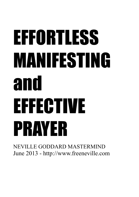# EFFORTLESS MANIFESTING and EFFECTIVE PRAYER

NEVILLE GODDARD MASTERMIND June 2013 - http://www.freeneville.com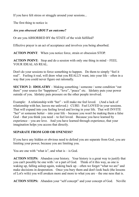If you have felt stress or struggle around your sessions...

The first thing to notice is:

### *Are you obsessed ABOUT an outcome?*

Or are you ABSORBED BY the STATE of the wish fulfilled?

Effective prayer is an act of acceptance and involves you being absorbed.

**ACTION POINT**: When you notice force, strain or obsession STOP.

**ACTION POINT:** Stop and do a session with only one thing in mind – FEEL YOUR IDEAL AS REAL.

Don't do your sessions to force something to happen. Do them to simply "feel it real". Feeling it real, will draw what you REALLY want, into your life – often in a way that you could never figure out rationally.

**SECTION 2: IDOLATRY** – Making something / someone / some condition "out there" your source for "happiness", "love", "peace" etc. Idolatry puts your power outside of you. Idolatry puts pressure on the other people involved.

Example: A relationship with "her" - will make me feel loved. (And a lack of relationship with her, leaves me unloved.) CURE: Feel LOVED in your sessions. That will expand into you feeling loved and loving in your life. That will INVITE "her" or someone better – into your life – because you won't be making them a false God – that you think you need – to feel loved. Because you have learned by experience – you are love. And you have learned through experience, that your imagination helps you access that directly.

## **SEPARATE FROM GOD OR ONENESS?**

If you have any hidden or obvious need to defend you are separate from God, you are limiting your power, because you are limiting you.

You are one with "what is", and what is  $-$  is God.

**ACTION STEPS:** Abandon your history. Your history is a great way to justify that you can't possibly be one with / or a part of God. Think of it this way, as one is waking up, falling asleep again, waking back up – often we forget "what we are" and make decisions in desperation. Once you bury them and don't look back (the lessons of Lot's wife) you will awaken more and more to what you are – the one ness that is.

**ACTION STEPS:** Abandon your "self concept" and your concept of God. Neville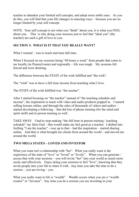teaches to abandon your limited self concepts, and adopt more noble ones. As you do this, you will find that your life changes in amazing ways – because you are no longer limited by your self concept.

NOTE: Your self concept is not what you "think" about you, it is what you FEEL about you. This is why doing your sessions just to feel that "ideal you" (the teacher) are such a gift of love to you.

## **SECTION 3: WHAT IS IT THAT YOU REALLY WANT?**

What I wanted – was to teach and train full time.

When I focused on my sessions being "40 hours a week" from people that come to me locally (in Pennsylvania) and regionally – life was tough. My sessions felt forced and were draining.

The difference between the STATE of the wish fulfilled and "the wish".

The "wish" was to have a full time income from teaching what I love.

The STATE of the wish fulfilled was "the teacher".

After I started focusing on "the teacher" instead of "the teaching schedule and income", the inspiration to teach with video and audio products popped in. I started selling lessons online, and through the sales of thousands of videos and audios – started developing a following – that did lots of phone training (for the mind and spirit stuff) and in person training as well.

TAKE AWAY: I had to stop making "the full time in person training / teaching schedule" my false God – that would make me feel good as a teacher. I shifted into feelling "I am the teacher" - rose up to that – had the inspiration – started sharing online. And that is what brought me clients from around the world – and moved me around the world.

# **TWO MEGA STATES – LOVED AND INVESTOR**

What you want isn't a relationship with "her". What you really want is the experience of the state of "love" or "loved" or "lovely". When you can generate / access that with your sessions – you will invite "her" into your world so much more easily and effectively. Enjoy doing your sessions to feel "love", knowing that they invite people into your life to share it with. Any time you take the time to do a session – you are loving – you.

What you really want in life is "wealth". Wealth occurs when you are a "wealth". creator" or "investor". Any time you do a session you are investing in your